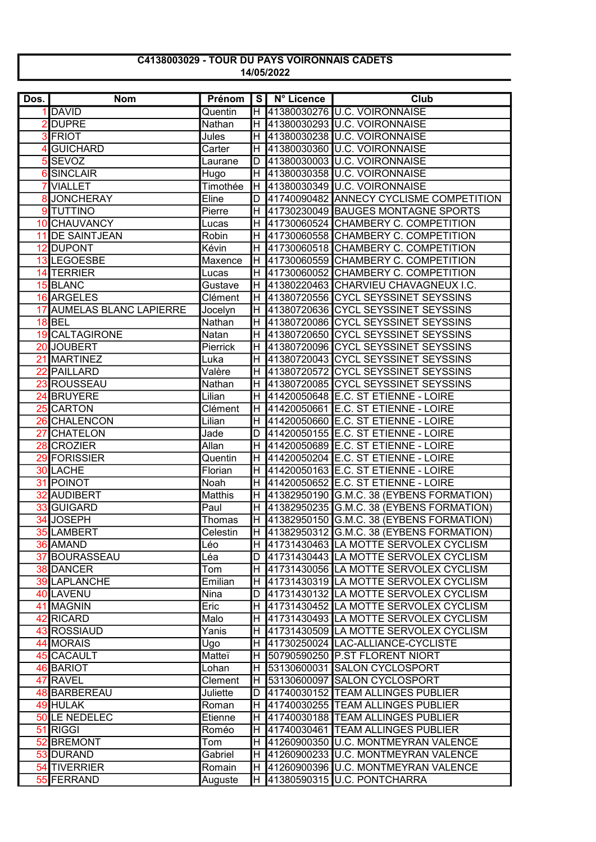## C4138003029 - TOUR DU PAYS VOIRONNAIS CADETS 14/05/2022

| Dos.            | <b>Nom</b>                    | Prénom   | I S I | N° Licence | Club                                       |
|-----------------|-------------------------------|----------|-------|------------|--------------------------------------------|
|                 | 1 DAVID                       | Quentin  |       |            | H 41380030276 U.C. VOIRONNAISE             |
| $\overline{2}$  | <b>DUPRE</b>                  | Nathan   | H     |            | 41380030293 U.C. VOIRONNAISE               |
|                 | 3 FRIOT                       | Jules    | H     |            | 41380030238 U.C. VOIRONNAISE               |
|                 | <b>GUICHARD</b>               | Carter   | H     |            | 41380030360 U.C. VOIRONNAISE               |
| 5               | <b>SEVOZ</b>                  | Laurane  | D     |            | 41380030003 U.C. VOIRONNAISE               |
| 6               | <b>SINCLAIR</b>               | Hugo     | H     |            | 41380030358 U.C. VOIRONNAISE               |
|                 | <b>VIALLET</b>                | Timothée | H     |            | 41380030349 U.C. VOIRONNAISE               |
| 8               | <b>JONCHERAY</b>              | Eline    | D     |            | 41740090482 ANNECY CYCLISME COMPETITION    |
| 9               | <b>TUTTINO</b>                | Pierre   | H     |            | 41730230049 BAUGES MONTAGNE SPORTS         |
| 10 <sup>1</sup> | <b>CHAUVANCY</b>              | Lucas    | H     |            | 41730060524 CHAMBERY C. COMPETITION        |
| 11              | <b>DE SAINTJEAN</b>           | Robin    | Н     |            | 41730060558 CHAMBERY C. COMPETITION        |
| 12              | <b>DUPONT</b>                 | Kévin    | Н     |            | 41730060518 CHAMBERY C. COMPETITION        |
|                 | 13 LEGOESBE                   | Maxence  | H.    |            | 41730060559 CHAMBERY C. COMPETITION        |
|                 | 14 TERRIER                    | Lucas    | H.    |            | 41730060052 CHAMBERY C. COMPETITION        |
|                 | 15 BLANC                      | Gustave  | H.    |            | 41380220463 CHARVIEU CHAVAGNEUX I.C.       |
|                 | 16 ARGELES                    | Clément  | lH.   |            | 41380720556 CYCL SEYSSINET SEYSSINS        |
| 17              | <b>AUMELAS BLANC LAPIERRE</b> | Jocelyn  | H.    |            | 41380720636 CYCL SEYSSINET SEYSSINS        |
|                 | 18BEL                         | Nathan   | H.    |            | 41380720086 CYCL SEYSSINET SEYSSINS        |
|                 | <b>19 CALTAGIRONE</b>         | Natan    | H     |            | 41380720650 CYCL SEYSSINET SEYSSINS        |
| 20              | <b>JOUBERT</b>                | Pierrick | H     |            | 41380720096 CYCL SEYSSINET SEYSSINS        |
| 21              | <b>MARTINEZ</b>               | Luka     | H     |            | 41380720043 CYCL SEYSSINET SEYSSINS        |
| 22              | <b>PAILLARD</b>               | Valère   | H.    |            | 41380720572 CYCL SEYSSINET SEYSSINS        |
| 23              | <b>ROUSSEAU</b>               | Nathan   | H.    |            | 41380720085 CYCL SEYSSINET SEYSSINS        |
| 24              | <b>BRUYERE</b>                | Lilian   | H     |            | 41420050648 E.C. ST ETIENNE - LOIRE        |
| 25              | <b>CARTON</b>                 | Clément  | H     |            | 41420050661 E.C. ST ETIENNE - LOIRE        |
| 26              | <b>CHALENCON</b>              | Lilian   | H     |            | 41420050660 E.C. ST ETIENNE - LOIRE        |
| 27              | <b>CHATELON</b>               | Jade     | D     |            | 41420050155 E.C. ST ETIENNE - LOIRE        |
| 28              | <b>CROZIER</b>                | Allan    | H     |            | 41420050689 E.C. ST ETIENNE - LOIRE        |
|                 | 29 FORISSIER                  | Quentin  | H     |            | 41420050204 E.C. ST ETIENNE - LOIRE        |
|                 | 30 LACHE                      | Florian  | H     |            | 41420050163 E.C. ST ETIENNE - LOIRE        |
| 31              | POINOT                        | Noah     | H     |            | 41420050652 E.C. ST ETIENNE - LOIRE        |
| $\overline{32}$ | <b>AUDIBERT</b>               | Matthis  | H     |            | 41382950190 G.M.C. 38 (EYBENS FORMATION)   |
|                 | 33 GUIGARD                    | Paul     | H     |            | 41382950235 G.M.C. 38 (EYBENS FORMATION)   |
| 34              | <b>JOSEPH</b>                 | Thomas   | H     |            | 41382950150 G.M.C. 38 (EYBENS FORMATION)   |
|                 | <b>35 LAMBERT</b>             | Celestin |       |            | H 41382950312 G.M.C. 38 (EYBENS FORMATION) |
|                 | 36 AMAND                      | Léo      |       |            | H 41731430463 LA MOTTE SERVOLEX CYCLISM    |
|                 | 37 BOURASSEAU                 | Léa      | D     |            | 41731430443 LA MOTTE SERVOLEX CYCLISM      |
|                 | <b>38 DANCER</b>              | Tom      | IH.   |            | 41731430056 LA MOTTE SERVOLEX CYCLISM      |
|                 | <b>39 LAPLANCHE</b>           | Emilian  | H     |            | 41731430319 LA MOTTE SERVOLEX CYCLISM      |
|                 | <b>40 LAVENU</b>              | Nina     | D     |            | 41731430132 LA MOTTE SERVOLEX CYCLISM      |
|                 | 41 MAGNIN                     | Eric     | Н.    |            | 41731430452 LA MOTTE SERVOLEX CYCLISM      |
| 42              | RICARD                        | Malo     | H     |            | 41731430493 LA MOTTE SERVOLEX CYCLISM      |
|                 | <b>43 ROSSIAUD</b>            | Yanis    | н     |            | 41731430509 LA MOTTE SERVOLEX CYCLISM      |
|                 | 44 MORAIS                     | Ugo      | H     |            | 41730250024 LAC-ALLIANCE-CYCLISTE          |
|                 | 45 CACAULT                    | Matteï   | н     |            | 50790590250 P.ST FLORENT NIORT             |
|                 | 46 BARIOT                     | Lohan    | H.    |            | 53130600031 SALON CYCLOSPORT               |
|                 | 47 RAVEL                      | Clement  | lH.   |            | 53130600097 SALON CYCLOSPORT               |
|                 | 48 BARBEREAU                  | Juliette | D     |            | 41740030152 TEAM ALLINGES PUBLIER          |
|                 | 49 HULAK                      | Roman    | H     |            | 41740030255 TEAM ALLINGES PUBLIER          |
|                 | 50 LE NEDELEC                 | Etienne  | H.    |            | 41740030188 TEAM ALLINGES PUBLIER          |
|                 | 51 RIGGI                      | Roméo    | H     |            | 41740030461 TEAM ALLINGES PUBLIER          |
|                 | 52 BREMONT                    | Tom      | H     |            | 41260900350 U.C. MONTMEYRAN VALENCE        |
|                 | 53 DURAND                     | Gabriel  | H     |            | 41260900233 U.C. MONTMEYRAN VALENCE        |
|                 | 54 TIVERRIER                  | Romain   | H     |            | 41260900396 U.C. MONTMEYRAN VALENCE        |
|                 | 55 FERRAND                    | Auguste  | H     |            | 41380590315 U.C. PONTCHARRA                |